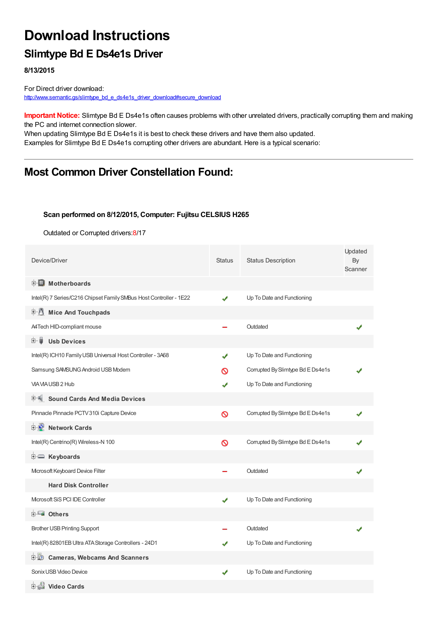# **Download Instructions**

## **Slimtype Bd E Ds4e1s Driver**

**8/13/2015**

For Direct driver download: [http://www.semantic.gs/slimtype\\_bd\\_e\\_ds4e1s\\_driver\\_download#secure\\_download](http://www.semantic.gs/slimtype_bd_e_ds4e1s_driver_download#secure_download)

**Important Notice:** Slimtype Bd E Ds4e1s often causes problems with other unrelated drivers, practically corrupting them and making the PC and internet connection slower.

When updating Slimtype Bd E Ds4e1s it is best to check these drivers and have them also updated. Examples for Slimtype Bd E Ds4e1s corrupting other drivers are abundant. Here is a typical scenario:

### **Most Common Driver Constellation Found:**

#### **Scan performed on 8/12/2015, Computer: Fujitsu CELSIUS H265**

Outdated or Corrupted drivers:8/17

| Device/Driver                                                      | <b>Status</b> | <b>Status Description</b>         | Updated<br>By<br>Scanner |
|--------------------------------------------------------------------|---------------|-----------------------------------|--------------------------|
| <b>E</b> Motherboards                                              |               |                                   |                          |
| Intel(R) 7 Series/C216 Chipset Family SMBus Host Controller - 1E22 | ✔             | Up To Date and Functioning        |                          |
| <b>E</b> Mice And Touchpads                                        |               |                                   |                          |
| A4Tech HID-compliant mouse                                         |               | Outdated                          |                          |
| <b>Usb Devices</b><br>田一員                                          |               |                                   |                          |
| Intel(R) ICH10 Family USB Universal Host Controller - 3A68         | ✔             | Up To Date and Functioning        |                          |
| Samsung SAMSUNG Android USB Modem                                  | ര             | Corrupted By Slimtype Bd E Ds4e1s |                          |
| VIA VIA USB 2 Hub                                                  | ✔             | Up To Date and Functioning        |                          |
| <b>Sound Cards And Media Devices</b>                               |               |                                   |                          |
| Pinnacle Pinnacle PCTV 310i Capture Device                         | $\infty$      | Corrupted By Slimtype Bd E Ds4e1s |                          |
| <b>D</b> Network Cards                                             |               |                                   |                          |
| Intel(R) Centrino(R) Wireless-N 100                                | $\infty$      | Corrupted By Slimtype Bd E Ds4e1s |                          |
| E Keyboards                                                        |               |                                   |                          |
| Mcrosoft Keyboard Device Filter                                    |               | Outdated                          |                          |
| <b>Hard Disk Controller</b>                                        |               |                                   |                          |
| Microsoft SiS PCI IDE Controller                                   | ✔             | Up To Date and Functioning        |                          |
| <b>E</b> Others                                                    |               |                                   |                          |
| <b>Brother USB Printing Support</b>                                |               | Outdated                          |                          |
| Intel(R) 82801EB Ultra ATA Storage Controllers - 24D1              |               | Up To Date and Functioning        |                          |
| <b>Cameras, Webcams And Scanners</b><br>⊡™⊥©                       |               |                                   |                          |
| Sonix USB Video Device                                             | ✔             | Up To Date and Functioning        |                          |
| 由書 Video Cards                                                     |               |                                   |                          |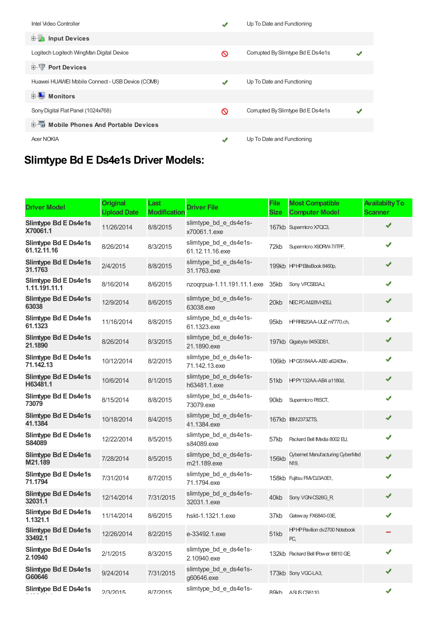| Intel Video Controller                           | √ | Up To Date and Functioning        |  |
|--------------------------------------------------|---|-----------------------------------|--|
| <b>E</b> Input Devices                           |   |                                   |  |
| Logitech Logitech WingMan Digital Device         | ଷ | Corrupted By Slimtype Bd E Ds4e1s |  |
| <b>E-</b> Port Devices                           |   |                                   |  |
| Huawei HUAWEI Mobile Connect - USB Device (COMB) | ✔ | Up To Date and Functioning        |  |
| <b>E</b> Monitors                                |   |                                   |  |
| Sony Digital Flat Panel (1024x768)               | ଷ | Corrupted By Slimtype Bd E Ds4e1s |  |
| <b>E-</b> Mobile Phones And Portable Devices     |   |                                   |  |
| <b>Acer NOKIA</b>                                | ✔ | Up To Date and Functioning        |  |

## **Slimtype Bd E Ds4e1s Driver Models:**

| <b>Driver Model</b>                    | <b>Original</b><br><b>Upload Date</b> | Last<br><b>Modification</b> | <b>Driver File</b>                       | <b>File</b><br><b>Size</b> | <b>Most Compatible</b><br><b>Computer Model</b> | <b>Availabilty To</b><br><b>Scanner</b> |
|----------------------------------------|---------------------------------------|-----------------------------|------------------------------------------|----------------------------|-------------------------------------------------|-----------------------------------------|
| Slimtype Bd E Ds4e1s<br>X70061.1       | 11/26/2014                            | 8/8/2015                    | slimtype_bd_e_ds4e1s-<br>x70061.1.exe    |                            | 167kb Supermicro X7QC3,                         | ✔                                       |
| Slimtype Bd E Ds4e1s<br>61.12.11.16    | 8/26/2014                             | 8/3/2015                    | slimtype_bd_e_ds4e1s-<br>61.12.11.16.exe | 72kb                       | Supermicro X9DRW-7/iTPF,                        |                                         |
| Slimtype Bd E Ds4e1s<br>31.1763        | 2/4/2015                              | 8/8/2015                    | slimtype_bd_e_ds4e1s-<br>31.1763.exe     |                            | 199kb HPHP EliteBook 8460p,                     |                                         |
| Slimtype Bd E Ds4e1s<br>1.11.191.11.1  | 8/16/2014                             | 8/6/2015                    | nzoqrpua-1.11.191.11.1.exe               | 35kb                       | Sony VPCSB3AJ,                                  |                                         |
| Slimtype Bd E Ds4e1s<br>63038          | 12/9/2014                             | 8/6/2015                    | slimtype bd e ds4e1s-<br>63038.exe       | 20kb                       | NEC PC-MJ28VHZEJ,                               | ✔                                       |
| Slimtype Bd E Ds4e1s<br>61.1323        | 11/16/2014                            | 8/8/2015                    | slimtype_bd_e_ds4e1s-<br>61.1323.exe     | 95kb                       | HPRR820AA-UUZ m7770.ch,                         | ✔                                       |
| Slimtype Bd E Ds4e1s<br>21.1890        | 8/26/2014                             | 8/3/2015                    | slimtype_bd_e_ds4e1s-<br>21.1890.exe     |                            | 197kb Gigabyte 945GDS1,                         | ✔                                       |
| Slimtype Bd E Ds4e1s<br>71.142.13      | 10/12/2014                            | 8/2/2015                    | slimtype_bd_e_ds4e1s-<br>71.142.13.exe   |                            | 106kb HPGS184AA-AB0 a6240tw,                    |                                         |
| Slimtype Bd E Ds4e1s<br>H63481.1       | 10/6/2014                             | 8/1/2015                    | slimtype bd e ds4e1s-<br>h63481.1.exe    | 51kb                       | HPPY132AA-AB4 a1180d,                           | ✔                                       |
| Slimtype Bd E Ds4e1s<br>73079          | 8/15/2014                             | 8/8/2015                    | slimtype_bd_e_ds4e1s-<br>73079.exe       | 90kb                       | Supermicro P8SCT,                               |                                         |
| Slimtype Bd E Ds4e1s<br>41.1384        | 10/18/2014                            | 8/4/2015                    | slimtype_bd_e_ds4e1s-<br>41.1384.exe     |                            | 167kb IBM2373ZTS,                               | ✔                                       |
| Slimtype Bd E Ds4e1s<br>S84089         | 12/22/2014                            | 8/5/2015                    | slimtype_bd_e_ds4e1s-<br>s84089.exe      | 57kb                       | Packard Bell IMedia 8002 EU,                    | ✔                                       |
| Slimtype Bd E Ds4e1s<br>M21.189        | 7/28/2014                             | 8/5/2015                    | slimtype_bd_e_ds4e1s-<br>m21.189.exe     | <b>156kb</b>               | <b>Cybernet Manufacturing CyberMed</b><br>N19.  |                                         |
| Slimtype Bd E Ds4e1s<br>71.1794        | 7/31/2014                             | 8/7/2015                    | slimtype_bd_e_ds4e1s-<br>71.1794.exe     |                            | 158kb Fujitsu FM/DJ3A0E1,                       |                                         |
| <b>Slimtype Bd E Ds4e1s</b><br>32031.1 | 12/14/2014                            | 7/31/2015                   | slimtype_bd_e_ds4e1s-<br>32031.1.exe     | 40kb                       | Sony VGN-CS26G_R                                |                                         |
| Slimtype Bd E Ds4e1s<br>1.1321.1       | 11/14/2014                            | 8/6/2015                    | hskt-1.1321.1.exe                        | 37kb                       | Gateway FX6840-03E                              |                                         |
| <b>Slimtype Bd E Ds4e1s</b><br>33492.1 | 12/26/2014                            | 8/2/2015                    | e-33492.1.exe                            | 51kb                       | HPHP Pavilion dv2700 Notebook<br>PC,            |                                         |
| Slimtype Bd E Ds4e1s<br>2.10940        | 2/1/2015                              | 8/3/2015                    | slimtype_bd_e_ds4e1s-<br>2.10940.exe     |                            | 132kb Packard Bell IPower I9810 GE              | ✔                                       |
| Slimtype Bd E Ds4e1s<br>G60646         | 9/24/2014                             | 7/31/2015                   | slimtype_bd_e_ds4e1s-<br>g60646.exe      |                            | 173kb Sony VGC-LA3,                             |                                         |
| Slimtype Bd E Ds4e1s                   | 2/3/2015                              | 8/7/2015                    | slimtype_bd_e_ds4e1s-                    | RQkh                       | A.SI IS CS6110                                  | ✔                                       |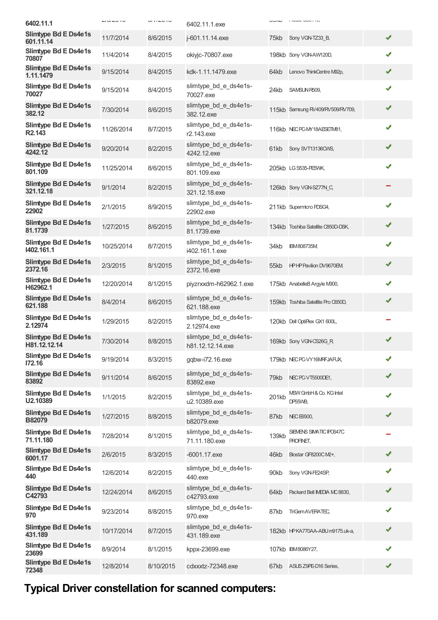| 6402.11.1                                  | $\frac{1}{2}$ | $u$ $i$ $i \in V$ $i \cup v$ | 6402.11.1.exe                             | UUIW  | $11.0000$ $000110$                          |   |
|--------------------------------------------|---------------|------------------------------|-------------------------------------------|-------|---------------------------------------------|---|
| Slimtype Bd E Ds4e1s<br>601.11.14          | 11/7/2014     | 8/6/2015                     | j-601.11.14.exe                           | 75kb  | Sony VGN-TZ33 B,                            | ✔ |
| Slimtype Bd E Ds4e1s<br>70807              | 11/4/2014     | 8/4/2015                     | okiyjc-70807.exe                          |       | 198kb Sony VGN-AW120D,                      | ✔ |
| <b>Slimtype Bd E Ds4e1s</b><br>1.11.1479   | 9/15/2014     | 8/4/2015                     | kdk-1.11.1479.exe                         | 64kb  | Lenovo ThinkCentre M92p,                    | ✔ |
| Slimtype Bd E Ds4e1s<br>70027              | 9/15/2014     | 8/4/2015                     | slimtype_bd_e_ds4e1s-<br>70027.exe        | 24kb  | SAMSUN R509,                                | ✔ |
| Slimtype Bd E Ds4e1s<br>382.12             | 7/30/2014     | 8/6/2015                     | slimtype_bd_e_ds4e1s-<br>382.12.exe       |       | 115kb Samsung RV409/RV509/RV709,            | ✔ |
| Slimtype Bd E Ds4e1s<br>R <sub>2.143</sub> | 11/26/2014    | 8/7/2015                     | slimtype bd e ds4e1s-<br>r2.143.exe       |       | 116kb NEC PC-MY18AESETM81,                  | ✔ |
| Slimtype Bd E Ds4e1s<br>4242.12            | 9/20/2014     | 8/2/2015                     | slimtype_bd_e_ds4e1s-<br>4242.12.exe      | 61kb  | Sony SVT13136CWS,                           | ✔ |
| Slimtype Bd E Ds4e1s<br>801.109            | 11/25/2014    | 8/6/2015                     | slimtype bd e ds4e1s-<br>801.109.exe      |       | 205kb LG S535-PE5WK,                        | ✔ |
| Slimtype Bd E Ds4e1s<br>321.12.18          | 9/1/2014      | 8/2/2015                     | slimtype_bd_e_ds4e1s-<br>321.12.18.exe    |       | 126kb Sony VGN-SZ77N_C,                     |   |
| Slimtype Bd E Ds4e1s<br>22902              | 2/1/2015      | 8/9/2015                     | slimtype_bd_e_ds4e1s-<br>22902.exe        |       | 211kb Supermicro PDSG4,                     | ✔ |
| Slimtype Bd E Ds4e1s<br>81.1739            | 1/27/2015     | 8/6/2015                     | slimtype bd e ds4e1s-<br>81.1739.exe      |       | 134kb Toshiba Satellite C850D-DSK,          | ✔ |
| Slimtype Bd E Ds4e1s<br>1402.161.1         | 10/25/2014    | 8/7/2015                     | slimtype_bd_e_ds4e1s-<br>i402.161.1.exe   | 34kb  | <b>IBM808735M</b>                           | ✔ |
| Slimtype Bd E Ds4e1s<br>2372.16            | 2/3/2015      | 8/1/2015                     | slimtype_bd_e_ds4e1s-<br>2372.16.exe      | 55kb  | <b>HPHPPavilion DV9670EM</b>                | ✔ |
| Slimtype Bd E Ds4e1s<br>H62962.1           | 12/20/2014    | 8/1/2015                     | piyzrxxdm-h62962.1.exe                    |       | 175kb AnabelleB Argyle M300,                |   |
| Slimtype Bd E Ds4e1s<br>621.188            | 8/4/2014      | 8/6/2015                     | slimtype_bd_e_ds4e1s-<br>621.188.exe      |       | 159kb Toshiba Satellite Pro C650D,          | ✔ |
| Slimtype Bd E Ds4e1s<br>2.12974            | 1/29/2015     | 8/2/2015                     | slimtype_bd_e_ds4e1s-<br>2.12974.exe      |       | 120kb Dell OptiFlex GX1 600L,               |   |
| Slimtype Bd E Ds4e1s<br>H81.12.12.14       | 7/30/2014     | 8/8/2015                     | slimtype_bd_e_ds4e1s-<br>h81.12.12.14.exe |       | 169kb Sony VGN-CS26G R                      | ✔ |
| Slimtype Bd E Ds4e1s<br>172.16             | 9/19/2014     | 8/3/2015                     | gqbw-i72.16.exe                           |       | 179kb NECPC-VY16MRFJAFUX,                   |   |
| Slimtype Bd E Ds4e1s<br>83892              | 9/11/2014     | 8/6/2015                     | slimtype bd e ds4e1s-<br>83892.exe        | 79kb  | NEC PC-VT5500DE1,                           | ✔ |
| Slimtype Bd E Ds4e1s<br>U2.10389           | 1/1/2015      | 8/2/2015                     | slimtype_bd_e_ds4e1s-<br>u2.10389.exe     | 201kb | MSW GmbH & Co. KG Intel<br>DP55WB,          | ✔ |
| Slimtype Bd E Ds4e1s<br><b>B82079</b>      | 1/27/2015     | 8/8/2015                     | slimtype_bd_e_ds4e1s-<br>b82079.exe       | 87kb  | <b>NEC E6500,</b>                           | ✔ |
| Slimtype Bd E Ds4e1s<br>71.11.180          | 7/28/2014     | 8/1/2015                     | slimtype_bd_e_ds4e1s-<br>71.11.180.exe    | 139kb | SIEVENS SIMATIC IPO647C<br><b>PROFINET,</b> |   |
| Slimtype Bd E Ds4e1s<br>6001.17            | 2/6/2015      | 8/3/2015                     | $-6001.17$ .exe                           | 46kb  | Biostar GF8200CM2+,                         | ✔ |
| Slimtype Bd E Ds4e1s<br>440                | 12/6/2014     | 8/2/2015                     | slimtype_bd_e_ds4e1s-<br>440.exe          | 90kb  | Sony VGN-FE24SP,                            | ✔ |
| Slimtype Bd E Ds4e1s<br>C42793             | 12/24/2014    | 8/6/2015                     | slimtype_bd_e_ds4e1s-<br>c42793.exe       | 64kb  | Packard Bell IMEDIA MC 8830,                | ✔ |
| Slimtype Bd E Ds4e1s<br>970                | 9/23/2014     | 8/8/2015                     | slimtype_bd_e_ds4e1s-<br>970.exe          | 87kb  | TriGemAVERATEC,                             | ✔ |
| Slimtype Bd E Ds4e1s<br>431.189            | 10/17/2014    | 8/7/2015                     | slimtype_bd_e_ds4e1s-<br>431.189.exe      |       | 182kb HPKA770AA-ABUm9175.uk-a,              | ✔ |
| Slimtype Bd E Ds4e1s<br>23699              | 8/9/2014      | 8/1/2015                     | kppx-23699.exe                            |       | 107kb IBM8086Y27,                           |   |
| Slimtype Bd E Ds4e1s<br>72348              | 12/8/2014     | 8/10/2015                    | cdxxxtz-72348.exe                         | 67kb  | ASUS Z9PE-D16 Series,                       |   |

# **Typical Driver constellation for scanned computers:**